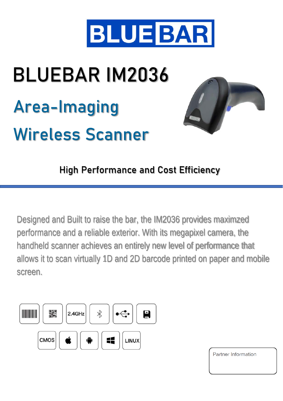

## BLUEBAR IM2036 Area-Imaging Wireless Scanner



High Performance and Cost Efficiency

Designed and Built to raise the bar, the IM2036 provides maximzed performance and a reliable exterior. With its megapixel camera, the handheld scanner achieves an entirely new level of performance that allows it to scan virtually 1D and 2D barcode printed on paper and mobile screen.



Partner Information